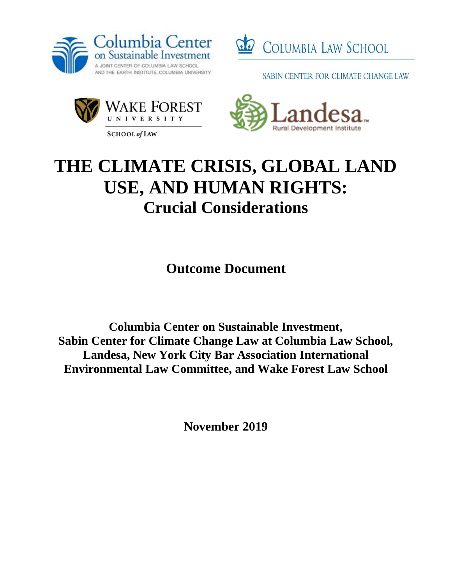



SABIN CENTER FOR CLIMATE CHANGE LAW



**SCHOOL of LAW** 



# **THE CLIMATE CRISIS, GLOBAL LAND USE, AND HUMAN RIGHTS: Crucial Considerations**

**Outcome Document**

**Columbia Center on Sustainable Investment, Sabin Center for Climate Change Law at Columbia Law School, Landesa, New York City Bar Association International Environmental Law Committee, and Wake Forest Law School**

**November 2019**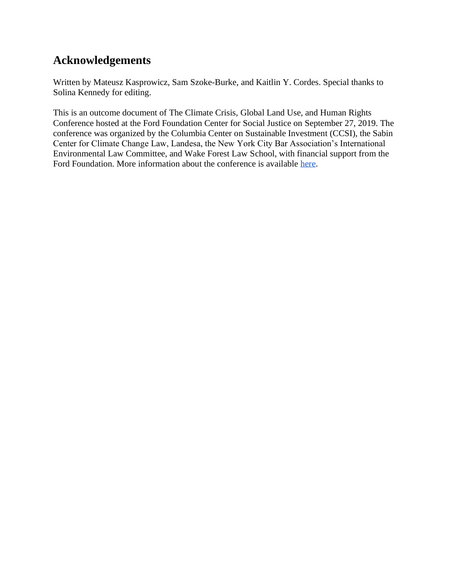# **Acknowledgements**

Written by Mateusz Kasprowicz, Sam Szoke-Burke, and Kaitlin Y. Cordes. Special thanks to Solina Kennedy for editing.

This is an outcome document of The Climate Crisis, Global Land Use, and Human Rights Conference hosted at the Ford Foundation Center for Social Justice on September 27, 2019. The conference was organized by the Columbia Center on Sustainable Investment (CCSI), the Sabin Center for Climate Change Law, Landesa, the New York City Bar Association's International Environmental Law Committee, and Wake Forest Law School, with financial support from the Ford Foundation. More information about the conference is available [here.](http://ccsi.columbia.edu/2019/09/27/the-climate-crisis-global-land-use-and-human-rights/)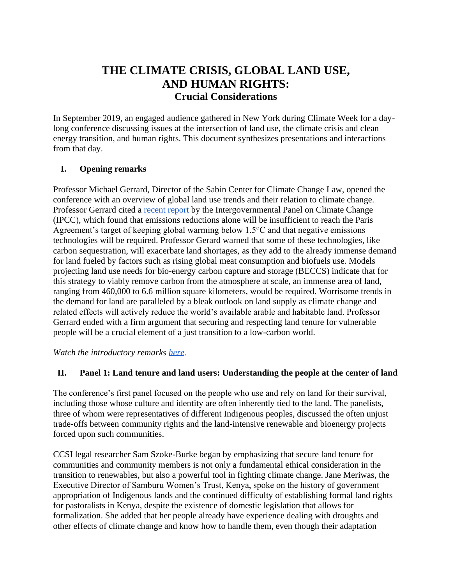# **THE CLIMATE CRISIS, GLOBAL LAND USE, AND HUMAN RIGHTS: Crucial Considerations**

In September 2019, an engaged audience gathered in New York during Climate Week for a daylong conference discussing issues at the intersection of land use, the climate crisis and clean energy transition, and human rights. This document synthesizes presentations and interactions from that day.

## **I. Opening remarks**

Professor Michael Gerrard, Director of the Sabin Center for Climate Change Law, opened the conference with an overview of global land use trends and their relation to climate change. Professor Gerrard cited a [recent report](https://report.ipcc.ch/sr15/pdf/sr15_spm_final.pdf) by the Intergovernmental Panel on Climate Change (IPCC), which found that emissions reductions alone will be insufficient to reach the Paris Agreement's target of keeping global warming below 1.5°C and that negative emissions technologies will be required. Professor Gerard warned that some of these technologies, like carbon sequestration, will exacerbate land shortages, as they add to the already immense demand for land fueled by factors such as rising global meat consumption and biofuels use. Models projecting land use needs for bio-energy carbon capture and storage (BECCS) indicate that for this strategy to viably remove carbon from the atmosphere at scale, an immense area of land, ranging from 460,000 to 6.6 million square kilometers, would be required. Worrisome trends in the demand for land are paralleled by a bleak outlook on land supply as climate change and related effects will actively reduce the world's available arable and habitable land. Professor Gerrard ended with a firm argument that securing and respecting land tenure for vulnerable people will be a crucial element of a just transition to a low-carbon world.

*Watch the introductory remarks [here.](https://www.youtube.com/watch?v=jt9eXfu9Z1w&list=PLMwQ_NbbvYkEqzFitFHIWlAQpSAsQyxle)*

# **II. Panel 1: Land tenure and land users: Understanding the people at the center of land**

The conference's first panel focused on the people who use and rely on land for their survival, including those whose culture and identity are often inherently tied to the land. The panelists, three of whom were representatives of different Indigenous peoples, discussed the often unjust trade-offs between community rights and the land-intensive renewable and bioenergy projects forced upon such communities.

CCSI legal researcher Sam Szoke-Burke began by emphasizing that secure land tenure for communities and community members is not only a fundamental ethical consideration in the transition to renewables, but also a powerful tool in fighting climate change. Jane Meriwas, the Executive Director of Samburu Women's Trust, Kenya, spoke on the history of government appropriation of Indigenous lands and the continued difficulty of establishing formal land rights for pastoralists in Kenya, despite the existence of domestic legislation that allows for formalization. She added that her people already have experience dealing with droughts and other effects of climate change and know how to handle them, even though their adaptation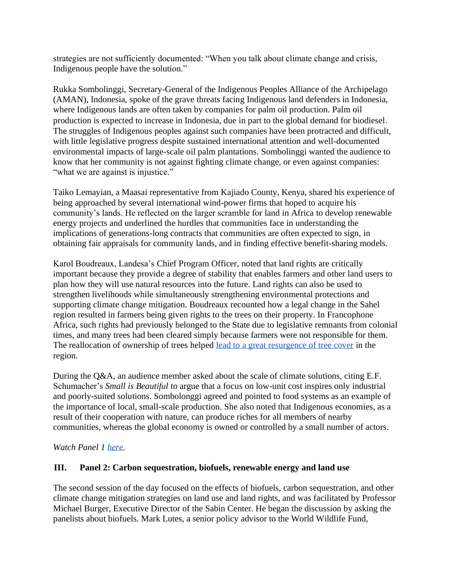strategies are not sufficiently documented: "When you talk about climate change and crisis, Indigenous people have the solution."

Rukka Sombolinggi, Secretary-General of the Indigenous Peoples Alliance of the Archipelago (AMAN), Indonesia, spoke of the grave threats facing Indigenous land defenders in Indonesia, where Indigenous lands are often taken by companies for palm oil production. Palm oil production is expected to increase in Indonesia, due in part to the global demand for biodiesel. The struggles of Indigenous peoples against such companies have been protracted and difficult, with little legislative progress despite sustained international attention and well-documented environmental impacts of large-scale oil palm plantations. Sombolinggi wanted the audience to know that her community is not against fighting climate change, or even against companies: "what we are against is injustice."

Taiko Lemayian, a Maasai representative from Kajiado County, Kenya, shared his experience of being approached by several international wind-power firms that hoped to acquire his community's lands. He reflected on the larger scramble for land in Africa to develop renewable energy projects and underlined the hurdles that communities face in understanding the implications of generations-long contracts that communities are often expected to sign, in obtaining fair appraisals for community lands, and in finding effective benefit-sharing models.

Karol Boudreaux, Landesa's Chief Program Officer, noted that land rights are critically important because they provide a degree of stability that enables farmers and other land users to plan how they will use natural resources into the future. Land rights can also be used to strengthen livelihoods while simultaneously strengthening environmental protections and supporting climate change mitigation. Boudreaux recounted how a legal change in the Sahel region resulted in farmers being given rights to the trees on their property. In Francophone Africa, such rights had previously belonged to the State due to legislative remnants from colonial times, and many trees had been cleared simply because farmers were not responsible for them. The reallocation of ownership of trees helped [lead to a great resurgence of tree cover](https://www.nytimes.com/2007/02/11/world/africa/11niger.html) in the region.

During the Q&A, an audience member asked about the scale of climate solutions, citing E.F. Schumacher's *Small is Beautiful* to argue that a focus on low-unit cost inspires only industrial and poorly-suited solutions. Sombolonggi agreed and pointed to food systems as an example of the importance of local, small-scale production. She also noted that Indigenous economies, as a result of their cooperation with nature, can produce riches for all members of nearby communities, whereas the global economy is owned or controlled by a small number of actors.

*Watch Panel 1 [here.](https://www.youtube.com/watch?v=pDqRhdr_X38&list=PLMwQ_NbbvYkEqzFitFHIWlAQpSAsQyxle&index=2)*

## **III. Panel 2: Carbon sequestration, biofuels, renewable energy and land use**

The second session of the day focused on the effects of biofuels, carbon sequestration, and other climate change mitigation strategies on land use and land rights, and was facilitated by Professor Michael Burger, Executive Director of the Sabin Center. He began the discussion by asking the panelists about biofuels. Mark Lutes, a senior policy advisor to the World Wildlife Fund,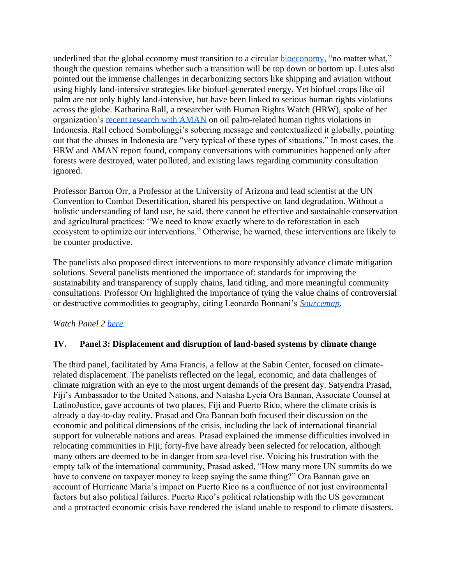underlined that the global economy must transition to a circular [bioeconomy,](https://www.oecd.org/agriculture/crp/documents/Allen-Ben-circular-bioeconomy-agriculture-forestry.pdf) "no matter what," though the question remains whether such a transition will be top down or bottom up. Lutes also pointed out the immense challenges in decarbonizing sectors like shipping and aviation without using highly land-intensive strategies like biofuel-generated energy. Yet biofuel crops like oil palm are not only highly land-intensive, but have been linked to serious human rights violations across the globe. Katharina Rall, a researcher with Human Rights Watch (HRW), spoke of her organization's [recent research with AMAN](https://www.hrw.org/report/2019/09/22/when-we-lost-forest-we-lost-everything/oil-palm-plantations-and-rights-violations) on oil palm-related human rights violations in Indonesia. Rall echoed Sombolinggi's sobering message and contextualized it globally, pointing out that the abuses in Indonesia are "very typical of these types of situations." In most cases, the HRW and AMAN report found, company conversations with communities happened only after forests were destroyed, water polluted, and existing laws regarding community consultation ignored.

Professor Barron Orr, a Professor at the University of Arizona and lead scientist at the UN Convention to Combat Desertification, shared his perspective on land degradation. Without a holistic understanding of land use, he said, there cannot be effective and sustainable conservation and agricultural practices: "We need to know exactly where to do reforestation in each ecosystem to optimize our interventions." Otherwise, he warned, these interventions are likely to be counter productive.

The panelists also proposed direct interventions to more responsibly advance climate mitigation solutions. Several panelists mentioned the importance of: standards for improving the sustainability and transparency of supply chains, land titling, and more meaningful community consultations. Professor Orr highlighted the importance of tying the value chains of controversial or destructive commodities to geography, citing Leonardo Bonnani's *[Sourcemap](http://news.mit.edu/2016/startup-sourcemap-supply-chains-0324)*.

*Watch Panel 2 [here.](https://www.youtube.com/watch?v=eC430kAz8F4&list=PLMwQ_NbbvYkEqzFitFHIWlAQpSAsQyxle&index=3)*

## **IV. Panel 3: Displacement and disruption of land-based systems by climate change**

The third panel, facilitated by Ama Francis, a fellow at the Sabin Center, focused on climaterelated displacement. The panelists reflected on the legal, economic, and data challenges of climate migration with an eye to the most urgent demands of the present day. Satyendra Prasad, Fiji's Ambassador to the United Nations, and Natasha Lycia Ora Bannan, Associate Counsel at LatinoJustice, gave accounts of two places, Fiji and Puerto Rico, where the climate crisis is already a day-to-day reality. Prasad and Ora Bannan both focused their discussion on the economic and political dimensions of the crisis, including the lack of international financial support for vulnerable nations and areas. Prasad explained the immense difficulties involved in relocating communities in Fiji; forty-five have already been selected for relocation, although many others are deemed to be in danger from sea-level rise. Voicing his frustration with the empty talk of the international community, Prasad asked, "How many more UN summits do we have to convene on taxpayer money to keep saying the same thing?" Ora Bannan gave an account of Hurricane Maria's impact on Puerto Rico as a confluence of not just environmental factors but also political failures. Puerto Rico's political relationship with the US government and a protracted economic crisis have rendered the island unable to respond to climate disasters.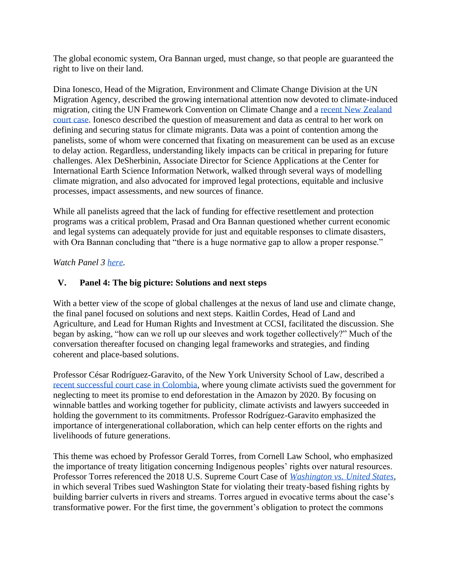The global economic system, Ora Bannan urged, must change, so that people are guaranteed the right to live on their land.

Dina Ionesco, Head of the Migration, Environment and Climate Change Division at the UN Migration Agency, described the growing international attention now devoted to climate-induced migration, citing the UN Framework Convention on Climate Change and a [recent New Zealand](https://www.loc.gov/law/help/climate-change-refugee/new-zealand.php)  [court case.](https://www.loc.gov/law/help/climate-change-refugee/new-zealand.php) Ionesco described the question of measurement and data as central to her work on defining and securing status for climate migrants. Data was a point of contention among the panelists, some of whom were concerned that fixating on measurement can be used as an excuse to delay action. Regardless, understanding likely impacts can be critical in preparing for future challenges. Alex DeSherbinin, Associate Director for Science Applications at the Center for International Earth Science Information Network, walked through several ways of modelling climate migration, and also advocated for improved legal protections, equitable and inclusive processes, impact assessments, and new sources of finance.

While all panelists agreed that the lack of funding for effective resettlement and protection programs was a critical problem, Prasad and Ora Bannan questioned whether current economic and legal systems can adequately provide for just and equitable responses to climate disasters, with Ora Bannan concluding that "there is a huge normative gap to allow a proper response."

## *Watch Panel 3 [here.](https://www.youtube.com/watch?v=2Axe-5hKv1Y&list=PLMwQ_NbbvYkEqzFitFHIWlAQpSAsQyxle&index=4)*

## **V. Panel 4: The big picture: Solutions and next steps**

With a better view of the scope of global challenges at the nexus of land use and climate change, the final panel focused on solutions and next steps. Kaitlin Cordes, Head of Land and Agriculture, and Lead for Human Rights and Investment at CCSI, facilitated the discussion. She began by asking, "how can we roll up our sleeves and work together collectively?" Much of the conversation thereafter focused on changing legal frameworks and strategies, and finding coherent and place-based solutions.

Professor César Rodríguez-Garavito, of the New York University School of Law, described a [recent successful court case in Colombia,](https://www.dejusticia.org/en/the-colombian-government-has-failed-to-fulfill-the-supreme-courts-landmark-order-to-protect-the-amazon/) where young climate activists sued the government for neglecting to meet its promise to end deforestation in the Amazon by 2020. By focusing on winnable battles and working together for publicity, climate activists and lawyers succeeded in holding the government to its commitments. Professor Rodríguez-Garavito emphasized the importance of intergenerational collaboration, which can help center efforts on the rights and livelihoods of future generations.

This theme was echoed by Professor Gerald Torres, from Cornell Law School, who emphasized the importance of treaty litigation concerning Indigenous peoples' rights over natural resources. Professor Torres referenced the 2018 U.S. Supreme Court Case of *[Washington vs. United States,](http://www.ncsl.org/blog/2018/01/30/supreme-court-to-decide-tribal-fishing-rights-case.aspx)*  in which several Tribes sued Washington State for violating their treaty-based fishing rights by building barrier culverts in rivers and streams. Torres argued in evocative terms about the case's transformative power. For the first time, the government's obligation to protect the commons